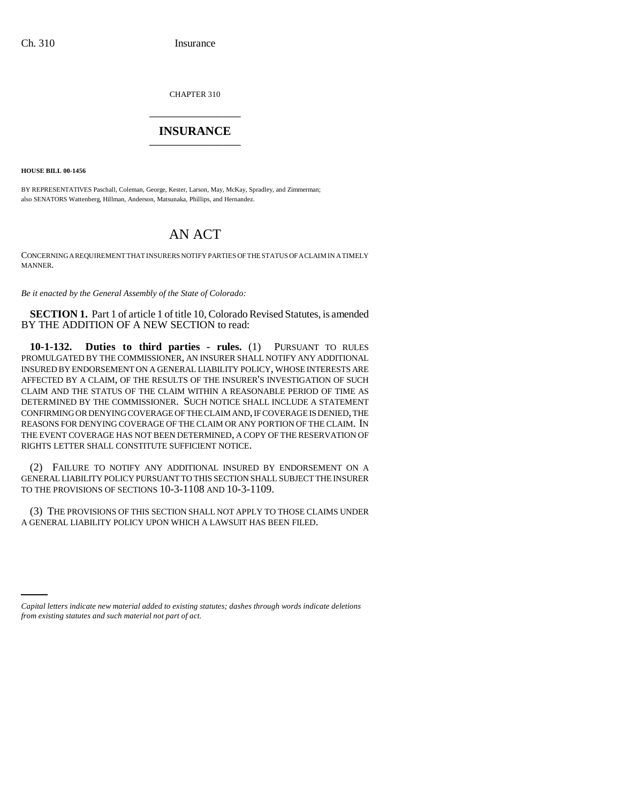CHAPTER 310 \_\_\_\_\_\_\_\_\_\_\_\_\_\_\_

## **INSURANCE** \_\_\_\_\_\_\_\_\_\_\_\_\_\_\_

**HOUSE BILL 00-1456**

BY REPRESENTATIVES Paschall, Coleman, George, Kester, Larson, May, McKay, Spradley, and Zimmerman; also SENATORS Wattenberg, Hillman, Anderson, Matsunaka, Phillips, and Hernandez.

## AN ACT

CONCERNING A REQUIREMENT THAT INSURERS NOTIFY PARTIES OF THE STATUS OF A CLAIM IN A TIMELY MANNER.

*Be it enacted by the General Assembly of the State of Colorado:*

**SECTION 1.** Part 1 of article 1 of title 10, Colorado Revised Statutes, is amended BY THE ADDITION OF A NEW SECTION to read:

**10-1-132. Duties to third parties - rules.** (1) PURSUANT TO RULES PROMULGATED BY THE COMMISSIONER, AN INSURER SHALL NOTIFY ANY ADDITIONAL INSURED BY ENDORSEMENT ON A GENERAL LIABILITY POLICY, WHOSE INTERESTS ARE AFFECTED BY A CLAIM, OF THE RESULTS OF THE INSURER'S INVESTIGATION OF SUCH CLAIM AND THE STATUS OF THE CLAIM WITHIN A REASONABLE PERIOD OF TIME AS DETERMINED BY THE COMMISSIONER. SUCH NOTICE SHALL INCLUDE A STATEMENT CONFIRMING OR DENYING COVERAGE OF THE CLAIM AND, IF COVERAGE IS DENIED, THE REASONS FOR DENYING COVERAGE OF THE CLAIM OR ANY PORTION OF THE CLAIM. IN THE EVENT COVERAGE HAS NOT BEEN DETERMINED, A COPY OF THE RESERVATION OF RIGHTS LETTER SHALL CONSTITUTE SUFFICIENT NOTICE.

(2) FAILURE TO NOTIFY ANY ADDITIONAL INSURED BY ENDORSEMENT ON A GENERAL LIABILITY POLICY PURSUANT TO THIS SECTION SHALL SUBJECT THE INSURER TO THE PROVISIONS OF SECTIONS 10-3-1108 AND 10-3-1109.

(3) THE PROVISIONS OF THIS SECTION SHALL NOT APPLY TO THOSE CLAIMS UNDER A GENERAL LIABILITY POLICY UPON WHICH A LAWSUIT HAS BEEN FILED.

*Capital letters indicate new material added to existing statutes; dashes through words indicate deletions from existing statutes and such material not part of act.*